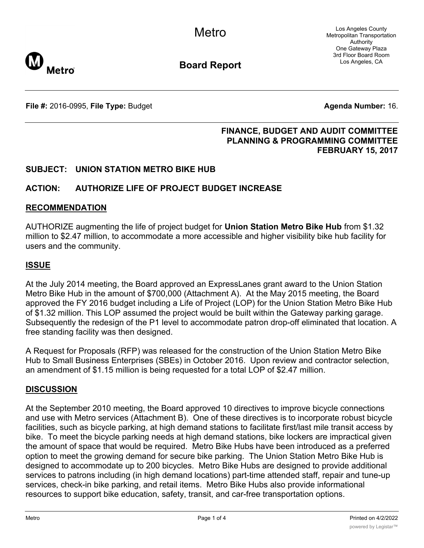Los Angeles County Metropolitan Transportation Authority One Gateway Plaza 3rd Floor Board Room Los Angeles, CA



**Board Report**

**File #:** 2016-0995, File Type: Budget **Agents Agenda Number:** 16.

## **FINANCE, BUDGET AND AUDIT COMMITTEE PLANNING & PROGRAMMING COMMITTEE FEBRUARY 15, 2017**

# **SUBJECT: UNION STATION METRO BIKE HUB**

# **ACTION: AUTHORIZE LIFE OF PROJECT BUDGET INCREASE**

#### **RECOMMENDATION**

AUTHORIZE augmenting the life of project budget for **Union Station Metro Bike Hub** from \$1.32 million to \$2.47 million, to accommodate a more accessible and higher visibility bike hub facility for users and the community.

#### **ISSUE**

At the July 2014 meeting, the Board approved an ExpressLanes grant award to the Union Station Metro Bike Hub in the amount of \$700,000 (Attachment A). At the May 2015 meeting, the Board approved the FY 2016 budget including a Life of Project (LOP) for the Union Station Metro Bike Hub of \$1.32 million. This LOP assumed the project would be built within the Gateway parking garage. Subsequently the redesign of the P1 level to accommodate patron drop-off eliminated that location. A free standing facility was then designed.

A Request for Proposals (RFP) was released for the construction of the Union Station Metro Bike Hub to Small Business Enterprises (SBEs) in October 2016. Upon review and contractor selection, an amendment of \$1.15 million is being requested for a total LOP of \$2.47 million.

#### **DISCUSSION**

At the September 2010 meeting, the Board approved 10 directives to improve bicycle connections and use with Metro services (Attachment B). One of these directives is to incorporate robust bicycle facilities, such as bicycle parking, at high demand stations to facilitate first/last mile transit access by bike. To meet the bicycle parking needs at high demand stations, bike lockers are impractical given the amount of space that would be required. Metro Bike Hubs have been introduced as a preferred option to meet the growing demand for secure bike parking. The Union Station Metro Bike Hub is designed to accommodate up to 200 bicycles. Metro Bike Hubs are designed to provide additional services to patrons including (in high demand locations) part-time attended staff, repair and tune-up services, check-in bike parking, and retail items. Metro Bike Hubs also provide informational resources to support bike education, safety, transit, and car-free transportation options.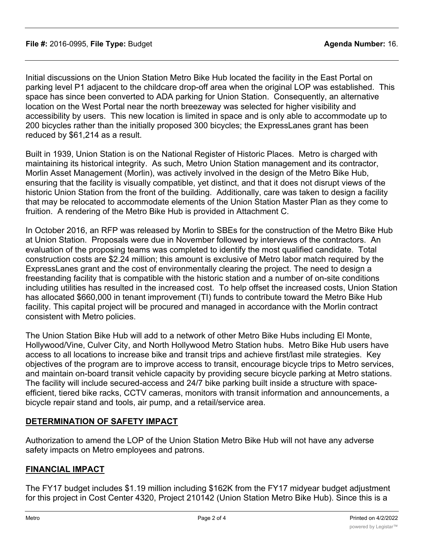Initial discussions on the Union Station Metro Bike Hub located the facility in the East Portal on parking level P1 adjacent to the childcare drop-off area when the original LOP was established. This space has since been converted to ADA parking for Union Station. Consequently, an alternative location on the West Portal near the north breezeway was selected for higher visibility and accessibility by users. This new location is limited in space and is only able to accommodate up to 200 bicycles rather than the initially proposed 300 bicycles; the ExpressLanes grant has been reduced by \$61,214 as a result.

Built in 1939, Union Station is on the National Register of Historic Places. Metro is charged with maintaining its historical integrity. As such, Metro Union Station management and its contractor, Morlin Asset Management (Morlin), was actively involved in the design of the Metro Bike Hub, ensuring that the facility is visually compatible, yet distinct, and that it does not disrupt views of the historic Union Station from the front of the building. Additionally, care was taken to design a facility that may be relocated to accommodate elements of the Union Station Master Plan as they come to fruition. A rendering of the Metro Bike Hub is provided in Attachment C.

In October 2016, an RFP was released by Morlin to SBEs for the construction of the Metro Bike Hub at Union Station. Proposals were due in November followed by interviews of the contractors. An evaluation of the proposing teams was completed to identify the most qualified candidate. Total construction costs are \$2.24 million; this amount is exclusive of Metro labor match required by the ExpressLanes grant and the cost of environmentally clearing the project. The need to design a freestanding facility that is compatible with the historic station and a number of on-site conditions including utilities has resulted in the increased cost. To help offset the increased costs, Union Station has allocated \$660,000 in tenant improvement (TI) funds to contribute toward the Metro Bike Hub facility. This capital project will be procured and managed in accordance with the Morlin contract consistent with Metro policies.

The Union Station Bike Hub will add to a network of other Metro Bike Hubs including El Monte, Hollywood/Vine, Culver City, and North Hollywood Metro Station hubs. Metro Bike Hub users have access to all locations to increase bike and transit trips and achieve first/last mile strategies. Key objectives of the program are to improve access to transit, encourage bicycle trips to Metro services, and maintain on-board transit vehicle capacity by providing secure bicycle parking at Metro stations. The facility will include secured-access and 24/7 bike parking built inside a structure with spaceefficient, tiered bike racks, CCTV cameras, monitors with transit information and announcements, a bicycle repair stand and tools, air pump, and a retail/service area.

# **DETERMINATION OF SAFETY IMPACT**

Authorization to amend the LOP of the Union Station Metro Bike Hub will not have any adverse safety impacts on Metro employees and patrons.

### **FINANCIAL IMPACT**

The FY17 budget includes \$1.19 million including \$162K from the FY17 midyear budget adjustment for this project in Cost Center 4320, Project 210142 (Union Station Metro Bike Hub). Since this is a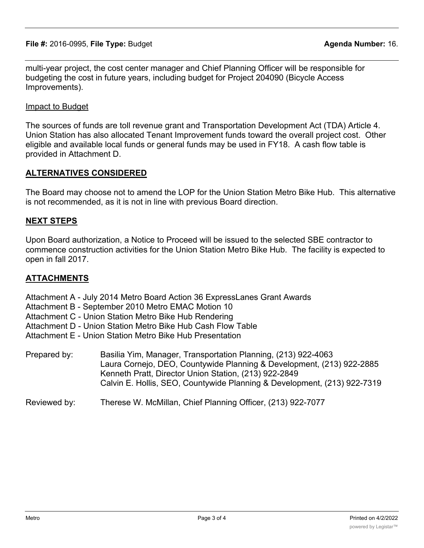**File #:** 2016-0995, **File Type:** Budget **Agenda Number:** 16.

multi-year project, the cost center manager and Chief Planning Officer will be responsible for budgeting the cost in future years, including budget for Project 204090 (Bicycle Access Improvements).

Impact to Budget

The sources of funds are toll revenue grant and Transportation Development Act (TDA) Article 4. Union Station has also allocated Tenant Improvement funds toward the overall project cost. Other eligible and available local funds or general funds may be used in FY18. A cash flow table is provided in Attachment D.

## **ALTERNATIVES CONSIDERED**

The Board may choose not to amend the LOP for the Union Station Metro Bike Hub. This alternative is not recommended, as it is not in line with previous Board direction.

## **NEXT STEPS**

Upon Board authorization, a Notice to Proceed will be issued to the selected SBE contractor to commence construction activities for the Union Station Metro Bike Hub. The facility is expected to open in fall 2017.

## **ATTACHMENTS**

Attachment A - July 2014 Metro Board Action 36 ExpressLanes Grant Awards

Attachment B - September 2010 Metro EMAC Motion 10

Attachment C - Union Station Metro Bike Hub Rendering

Attachment D - Union Station Metro Bike Hub Cash Flow Table

Attachment E - Union Station Metro Bike Hub Presentation

Prepared by: Basilia Yim, Manager, Transportation Planning, (213) 922-4063 Laura Cornejo, DEO, Countywide Planning & Development, (213) 922-2885 Kenneth Pratt, Director Union Station, (213) 922-2849 Calvin E. Hollis, SEO, Countywide Planning & Development, (213) 922-7319

Reviewed by: Therese W. McMillan, Chief Planning Officer, (213) 922-7077